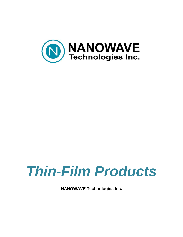

# *Thin-Film Products*

**NANOWAVE Technologies Inc.**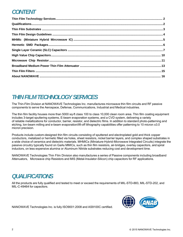### *CONTENT*

### *THIN FILM TECHNOLOGY SERVICES*

The Thin-Film Division at NANOWAVE Technologies Inc. manufactures microwave thin film circuits and RF passive components to serve the Aerospace, Defense, Communications, Industrial and Medical industries.

The thin film facility houses more than 5000 sq-ft class 100 to class 10,000 clean room area. Thin film coating equipment includes 3-target sputtering systems, E-beam evaporation systems, and a CVD system, delivering a variety of reliable metallizations for conductor, barrier, resistor, and dielectric films. In addition to standard photo-patterning and etching, lon-beam milling and e-beam evaporation/lift-off lithography capabilities offer patterning to 10 micron ±3.0 micron precision.

Products include custom-designed thin film circuits consisting of sputtered and electroplated gold and thick copper conductors, metalized or hermetic filled via holes, sheet resistors, nickel barrier layers, and complex shaped substrates in a wide choice of ceramics and dielectric materials. MHMICs (Miniature-Hybrid-Microwave Integrated Circuits) integrate the passive circuitry typically found on GaAs MMICs, such as thin film resistors, air-bridges, overlay capacitors, and spiral inductors, on less expensive alumina or Aluminum Nitride substrates reducing cost and development time.

NANOWAVE Technologies Thin Film Division also manufactures a series of Passive components including broadband Attenuators, Microwave chip Resistors and MIS (Metal-Insulator-Silicon) chip capacitors for RF applications.

### *QUALIFICATIONS*

All the products are fully qualified and tested to meet or exceed the requirements of MIL-STD-883, MIL-STD-202, and MIL-C-49464 for capacitors.



NANOWAVE Technologies Inc. is fully ISO9001:2008 and AS9100C certified.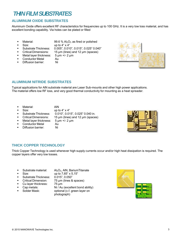### *THIN FILM SUBSTRATES*

#### **ALUMINUM OXIDE SUBSTRATES**

Aluminum Oxide offers excellent RF characteristics for frequencies up to 100 GHz. It is a very low loss material, and has excellent bonding capability. Via holes can be plated or filled

- Material: 99.6 %  $Al_2O_3$  as fired or polished
- Size: up to 4" x 4"
- Substrate Thickness: 0.005", 0.010", 0.015", 0.025" 0.040"
- Critical Dimensions: 15 µm (lines) and 12 µm (spaces)
- $\blacksquare$  Metal layer thickness: 5  $\mu$ m +/- 2  $\mu$ m
- Conductor Metal Au
- **Diffusion barrier:** Ni
- 
- 
- 



#### **ALUMINUM NITRIDE SUBSTRATES**

Typical applications for AlN substrate material are Laser Sub-mounts and other high power applications. The material offers low RF loss, and very good thermal conductivity for mounting as a heat spreader.

- **Material:** AIN **AIN**<br>Size: Unit
	-
	- Size: up to 4" x 4"
- Substrate Thickness: 0.010", 0.015", 0.025" 0.040 in.

- Critical Dimensions:  $15 \mu m$  (lines) and  $12 \mu m$  (spaces)<br>
 Metal layer thickness:  $5 \mu m$  +/-  $2 \mu m$  $\blacksquare$  Metal layer thickness:
- Conductor Metal Au
- Diffusion barrier: Ni



#### **THICK COPPER TECHNOLOGY**

Thick Copper Technology is used whenever high supply currents occur and/or high heat dissipation is required. The copper layers offer very low losses.

- 
- 

**Substrate material:**  $\mathsf{Al}_2\mathsf{O}_3$ , AIN, Barium Titanate

- $\blacksquare$  Size: up to 7,65" x 5,15"
	- Substrate Thickness: 0.015", 0.050"
- Critical Dimension: 75 µm (lines & spaces) Cu layer thickness: 75 um
- 
- 
- 
- 
- Cap metals: Ni / Au (excellent bond ability)<br>
Solder Mask: optional (c.f. green laver on optional (c.f. green layer on
	- photograph)

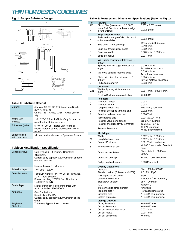### *THIN FILM DESIGN GUIDELINES*

#### **Fig. 1: Sample Substrate Design**



#### **Table 1: Substrate Material**

| Material                         | Alumina (96.5%, 99.6%); Aluminum Nitride<br>(K=170 W/m <sup>o</sup> K);<br>Quartz; (Ba)TiOxide, (ZrSn)TiOxide (Er=37-<br>39) |
|----------------------------------|------------------------------------------------------------------------------------------------------------------------------|
| Wafer Size<br>(inches)           | 1x1, 2.25x2.25, 4x4 (Note: Only 1x1 can be<br>used for 5 mil thick material.)                                                |
| Thickness (mils)                 | 5, 10, 15, 20, 25 (Note: Only 15 mil or<br>thicker material can be processed in 4x4 in.<br>panel).                           |
| Surface finish<br>(micro-inches) | $<$ 1 µ-inches for alumina; $<$ 2 µ-inches for AIN                                                                           |

#### **Table 2: Metallization Specification**

| Conductor layer                | Gold Typical $3-5$ micron. Resistivity<br><10m $\Omega$ /sq.<br>Current carry capacity: 20mA/micron of trace<br>width on alumina<br>Copper Typical 5 - 75 micron |
|--------------------------------|------------------------------------------------------------------------------------------------------------------------------------------------------------------|
| <b>Adhesion layer</b>          | TiW $300-500$ A°                                                                                                                                                 |
| Resistive layer                | Tantalum Nitride (TaN) 10, 25, 50, 100 $\Omega$ /sq.<br>TCR-150+/-50ppm/°C.<br>Power Handling: 250W/in <sup>2</sup> on Alumina or<br>1000 $W/in^2$ on AIN        |
| Barrier layer                  | Nickel (if thin film is solder mounted with<br>AuSn or AuGe). 1500-2000A°                                                                                        |
| Air bridge                     | Gold 3 - 5 micron.<br>Resistivity < $10m\Omega$ /sq.<br>Current carry capacity: 20mA/micron of line<br>width.                                                    |
| Polyimide<br><b>Dielectric</b> | Thickness Typical 7 +/- 1 micron                                                                                                                                 |

#### **Table 3: Features and Dimension Specifications (Refer to Fig. 1)**

| Ref | Feature                                                      | <b>Spec</b>                                       |  |  |
|-----|--------------------------------------------------------------|---------------------------------------------------|--|--|
| A/B | Circuit Size (tolerance : +/- 0.002")                        | $3.75" \times 3.75"$ (max)                        |  |  |
|     | Metal Pull Back from substrate edge                          |                                                   |  |  |
| С   | (Front or Back)                                              | $0.002"$ (min)                                    |  |  |
|     | <b>Edge Wraparounds:</b>                                     |                                                   |  |  |
|     |                                                              |                                                   |  |  |
| D   | Pad size from edge of via hole or cut<br>out or castellation | $0.003"$ (min)                                    |  |  |
|     |                                                              |                                                   |  |  |
| E   | Size of half via edge wrap                                   | 70% material thickness or                         |  |  |
|     |                                                              | 0.010" min.                                       |  |  |
| F   | Edge slot (castellation) depth                               | 0.002" min.                                       |  |  |
| G   | Edge slot width                                              | 0.020" min., 0.050" max.                          |  |  |
| Н   | Edge slot radius                                             | 0.004" min.                                       |  |  |
|     |                                                              |                                                   |  |  |
|     | Via Holes: (Placement tolerance :+/-<br>0.002"               |                                                   |  |  |
| I   | Spacing from via edge to substrate                           | 0.010" min. or                                    |  |  |
|     | edge                                                         | 1x material thickness.                            |  |  |
| J   | Via to via spacing (edge to edge)                            | 0.010" min. or                                    |  |  |
|     |                                                              | 1x material thickness.                            |  |  |
|     | Plated Via diameter (tolerance: +/-                          | 0.005" min. or                                    |  |  |
| Κ   | 0.002")                                                      | 50% of material thickness.                        |  |  |
| L   | Pad size around via                                          | $0.003$ " min.                                    |  |  |
|     | <b>Conductor:</b>                                            |                                                   |  |  |
|     | Width / Spacing (tolerance: +/-                              |                                                   |  |  |
| M/N | 0.0001"                                                      | 0.001" min./ 0.0004" min.                         |  |  |
|     |                                                              |                                                   |  |  |
|     | Front to Back pattern registration                           | $+/- 0.001"$                                      |  |  |
|     | <b>Resistor:</b>                                             |                                                   |  |  |
| O   | Minimum Length                                               | 0.002"                                            |  |  |
| Ρ   | Minimum Width                                                | 0.002"                                            |  |  |
|     | Length to Width ratio                                        | 1/10 min.; 10/1 max.                              |  |  |
| Q   | Resistor overlap to terminal pad                             | 0.002" min.                                       |  |  |
|     |                                                              |                                                   |  |  |
| R   | Resistor underlap from pad                                   | 0.0005" min.                                      |  |  |
|     | Terminal pad size                                            | 0.004"x0.004" min.                                |  |  |
|     | Resistor value per element                                   | 5Ω min.; 1kΩ max.                                 |  |  |
|     | Resistor sheet resistivity (ohms/sq)                         | 10,25 50, 75, 100                                 |  |  |
|     |                                                              | $+/-15\%$ Standard.                               |  |  |
|     | <b>Resistor Tolerance</b>                                    | +/-1% laser trimmed.                              |  |  |
|     |                                                              |                                                   |  |  |
| U   | Air Bridge:<br>Width                                         | 0.002" min.; 0.005" max.                          |  |  |
|     |                                                              |                                                   |  |  |
| W   | Length between post                                          | 0.002" min.; 0.015" max                           |  |  |
| V   | <b>Contact Post size</b>                                     | 0.0015" min. each side                            |  |  |
| S   | Air bridge size at post                                      | +0.0001" each side of contact                     |  |  |
|     |                                                              | post.                                             |  |  |
|     |                                                              | Si <sub>3</sub> N <sub>4</sub> dielectric 3000A – |  |  |
|     | Crossover insulation                                         | 3500A                                             |  |  |
| Т   | Crossover overlap                                            | +0.0001" over conductor                           |  |  |
|     |                                                              |                                                   |  |  |
|     | Bridge height/clearance                                      | 0.0004" nominal                                   |  |  |
|     |                                                              |                                                   |  |  |
|     | <b>Overlay Capacitor:</b>                                    |                                                   |  |  |
|     | Dielectric                                                   | $Si3N4$ 3000 - 3500A°                             |  |  |
|     | Standard value (Tolerance +/-20%)                            | 1.0 pF to 20pF                                    |  |  |
|     | Max capacitor per circuit                                    | 80pF                                              |  |  |
|     | Capacitance density                                          | 230pF/mm <sup>2</sup> (0.15pF/mil <sup>2</sup> )  |  |  |
|     | Breakdown voltage                                            | 25V (70V max)                                     |  |  |
|     | <b>TCC</b>                                                   | 70ppm/°C                                          |  |  |
|     |                                                              |                                                   |  |  |
|     | Interconnect to other element                                | Air bridge                                        |  |  |
|     | Top plate size A                                             | Per capacitance area                              |  |  |
|     | Dielectric size                                              | A+0.002" min. per side                            |  |  |
|     | Bottom plate size                                            | A+0.002" min. per side                            |  |  |
|     | Dicing / Cut out:                                            |                                                   |  |  |
|     | Dicing Tolerance                                             | $+/- 0.002"$ max.                                 |  |  |
|     | Cut out Tolerance                                            | $+/- 0.002"$ max.                                 |  |  |
|     | Cut out to circuit clearance                                 | 0.002" min.                                       |  |  |
| Χ   |                                                              |                                                   |  |  |
| Y   | Cut out radius                                               | 0.004" min.                                       |  |  |
|     | Cut out positioning                                          | $+/- 0.002"$                                      |  |  |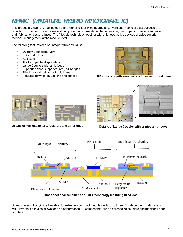### *MHMIC (MINIATURE HYBRID MIRCROWAVE IC)*

This proprietary hybrid IC technology offers higher reliability compared to conventional hybrid circuits because of a reduction in number of bond wires and component attachments. At the same time, the RF performance is enhanced and fabrication costs reduced. The filled via technology together with chip-level active devices enables superior thermal management at the module level.

The following features can be integrated into MHMICs:

- Overlay Capacitors (MIM)
- **Spiral Inductors**
- **Resistors**
- Thick copper heat spreaders
- **Lange Couplers with air-bridges**
- **Supported / non-supported (real) air-bridges**
- **Filled** –planarized hermetic via holes
- Features down to 15  $\mu$ m (line and space)



**RF substrate with standard via holes to ground plane**





**Details of MIM capacitors, resistors and air-bridges**



#### **Details of Lange Coupler with printed air-bridges**



**Cross sectional schematic of HMIC technology including filled vias**

Spin-on layers of polyimide film allow for extremely compact modules with up to three (3) independent metal layers. Multi-layer thin-film also allows for high performance RF components, such as broadside couplers and modified Lange couplers.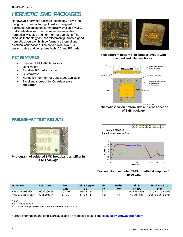Thin-Film Products

## *HERMETIC SMD PACKAGES*

Nanowave's hermetic package technology allows the design and manufacturing of custom designed packaged ICs based on commercially available MMICs or discrete devices. The packages are available in hermetically sealed and non-hermetic versions. The filled via technology and cap attachment guarantee good hermetic closure on high performance thermal and electrical connections. The bottom side layout is customizable and comprises both, DC and RF pads.

#### **KEY FEATURES**

- Standard SMD attach process
- Light weight
- Excellent RF performance
- **Customizable**
- Hermetic / non-hermetic packages available
- Excellent approach for **Obsolescence Mitigation**



#### **Two different bottom side contact layouts with capped and filled via holes.**



**Schematic view on bottom side and cross section of SMD package.**

#### **PRELIMINARY TEST RESULTS**



**Photograph of soldered SMD broadband amplifier in SMD package**



#### **Test results of mounted SMD broadband amplifier 6 to 20 GHz**

| <b>Model No</b> | Ref. DIAG. # | Frea<br>GHz | Gain / Ripple<br>dB | <b>NF</b><br>dB | P1dB<br>dBm | Vd / Id<br>V / mA | Package Size<br><b>Inch</b>    |
|-----------------|--------------|-------------|---------------------|-----------------|-------------|-------------------|--------------------------------|
| NW1016-10SMD    | 6082266-66   | 10 - 16     | $15.0 \pm 1.5$      | 3.0             | 10          | $+4/75$ (SS)      | $0.15 \times 0.15 \times 0.06$ |
| NW0620-18HSMD   | 6082266-81   | 6 - 20      | $7.0 \pm 1.5$       | 6.0             | 18          | $+4/200$ (DS)     | $0.20 \times 0.20 \times 0.06$ |

Notes:<br>SS

Single Supply

SD Double Supply (see data sheet for detailed information.)

Further information and details are available on request. Please contact **sales@nanowavetech.com**.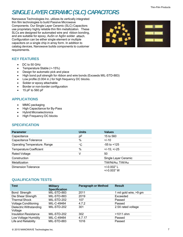### *SINGLE LAYER CERAMIC (SLC) CAPACITORS*

Nanowave Technologies Inc. utilizes its vertically integrated thin film technologies to build Passive Microwave Components. Our Single Layer Ceramic (SLC) Capacitors use proprietary highly reliable thin film metallization. These SLCs are designed for automated wire and ribbon bonding, and are suitable for epoxy, AuSn or AgSn solder attach. Configuration can be either single element or multiple capacitors on a single chip in array form. In addition to catalog devices, Nanowave builds components to customer requirements.



#### **KEY FEATURES**

- DC to 50 GHz
- Temperature Stable (+-15%)
- Design for automatic pick and place
- High bond pull strength for ribbon and wire bonds (Exceeds MIL-STD-883)
- Low profile (0.004 in.) for high frequency DC blocks.
- Solder or epoxy attachable
- Border or non-border configuration
- $\bullet$  15 pF to 560 pF

#### **APPLICATIONS**

- MMIC packaging
- High Capacitance for By-Pass
- Hybrid Microelectronics
- High Frequency DC blocks

#### **SPECIFICATION**

| <b>Parameter</b>                    | <b>Units</b>    | <b>Values</b>        |
|-------------------------------------|-----------------|----------------------|
| Capacitance                         | рF              | 15 to 560            |
| Capacitance Tolerance               | $\%$            | $+/-10$              |
| <b>Operating Temperature. Range</b> | $\rm ^{\circ}C$ | $-55$ to $+125$      |
| <b>Temperature Coefficient</b>      | $\%$            | $+/-15; +/-25$       |
| <b>Rated Voltage</b>                | V               | 50                   |
| Construction                        |                 | Single Layer Ceramic |
| Metallization                       |                 | TiW/Ni/Au; TiW/Au    |
| <b>Dimension Tolerance</b>          |                 | $+/-0.002"$ L        |
|                                     |                 | $+/-0.003"$ W        |

#### **QUALIFICATION TESTS**

| <b>Test</b>                        | <b>Military</b><br><b>Specification</b> | <b>Paragraph or Method</b> | <b>Result</b>          |
|------------------------------------|-----------------------------------------|----------------------------|------------------------|
| Bond Strength                      | MIL-STD-883                             | 2011                       | 1 mil gold wire, >9 gm |
| Die Shear Strength                 | MIL-STD-883                             | 2019                       | Exceeded               |
| <b>Thermal Shock</b>               | MIL-STD-202                             | 107                        | Passed                 |
| <b>Voltage Conditioning</b>        | MIL-C-49464                             | 4.7.2                      | Passed                 |
| Dielectric Withstanding<br>Voltage | MIL-STD-202                             | 301                        | 2.5X rated voltage     |
| <b>Insulation Resistance</b>       | MIL-STD-202                             | 302                        | $>1011$ ohm            |
| Low Voltage Humidity               | MIL-C-49464                             | 4.7.17                     | Passed                 |
| Life and Reliability               | MIL-STD-883                             | 1016                       | Passed                 |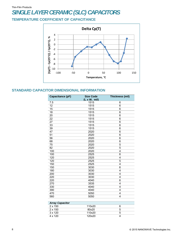#### Thin-Film Products *SINGLE LAYER CERAMIC (SLC) CAPACITORS*

#### **TEMPERATURE COEFFICIENT OF CAPACITANCE**



#### **STANDARD CAPACITOR DIMENSIONAL INFORMATION**

| Capacitance (pF)       | <b>Size Code</b>            | Thickness (mil) |
|------------------------|-----------------------------|-----------------|
|                        | $(L \times W, \text{ mil})$ |                 |
| 7.5                    | 1515                        | 6               |
| $\overline{12}$        | 1515                        | $\overline{6}$  |
| $\overline{15}$        | 1515                        | 6               |
| $\overline{18}$        | 1515                        | 6               |
| $\overline{20}$        | 1515                        | 6               |
| $\overline{22}$        | 1515                        | 6               |
| 27                     | 1515                        | 6               |
| 33                     | 1515                        | 6               |
| 39                     | 1515                        | 6               |
| 47                     | 2020                        | 6               |
| 51                     | 2020                        | 6               |
| 56                     | 2020                        | 6               |
| 68                     | 2020                        | 6               |
| $\overline{75}$        | 2020                        | $\overline{5}$  |
| 82                     | 2020                        | 5               |
| 100                    | 2020                        | 4               |
| 100                    | 2525                        | 6               |
| 120                    | 2525                        | 4               |
| 120                    | 2525                        | 5               |
| 150                    | 2525                        | 4               |
| 150                    | 3030                        | 6               |
| 180                    | 3030                        | 4               |
| 200                    | 3030                        | 4               |
| 220                    | 3030                        | 4               |
| 220                    | 4040                        | 6               |
| 270                    | 3535                        | 4               |
| 330                    | 4040                        | 4               |
| 390                    | 4040                        | 4               |
| 470                    | 5050                        | 4               |
| 560                    | 5050                        | 4               |
|                        |                             |                 |
| <b>Array Capacitor</b> |                             |                 |
| 2 x 150                | 110x20                      | 6               |
| 2 x 150                | 80x20                       | 5               |
| 3 x 120                | 110x20                      | 5               |
| 4 x 120                | 120x20                      | 4               |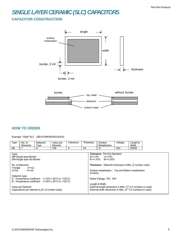### *SINGLE LAYER CERAMIC (SLC) CAPACITORS* **CAPACITOR CONSTRUCTION**





#### **HOW TO ORDER**

Example: 100pF SLC (SB1A100K04G50V20x20)

| Type                                                    | No. of<br>Elements     | <b>Dielectric</b><br>Type                      | Value per<br>Element | Tolerance               | <b>Thickness</b>                                                                                                                   | Surface<br>Metallization | Voltage | Length &<br>Width |  |
|---------------------------------------------------------|------------------------|------------------------------------------------|----------------------|-------------------------|------------------------------------------------------------------------------------------------------------------------------------|--------------------------|---------|-------------------|--|
| <b>SB</b>                                               |                        | A                                              | 100                  | ĸ                       | 04                                                                                                                                 | G                        | 50V     | 20X20             |  |
| Type:<br><b>Tolerance: Per EIA Standard</b>             |                        |                                                |                      |                         |                                                                                                                                    |                          |         |                   |  |
|                                                         | SB=Single layer Border |                                                |                      |                         | $G=+/2%$                                                                                                                           | $J = +/-5\%$             |         |                   |  |
| SN=Single layer No Border                               |                        |                                                |                      |                         | $K=+/-10\%$ M=+ $/-20\%$                                                                                                           |                          |         |                   |  |
| No. of elements:<br>$1 = \frac{1}{2}$<br>$2 = 1x2$      |                        |                                                |                      |                         | <b>Thickness:</b> Dielectric thickness in Mils. (2 number code)                                                                    |                          |         |                   |  |
| $3 = 1 \times 3$<br>$4 = 1x4$                           |                        |                                                |                      |                         | Surface metallization: Top and Bottom metallization<br>G=Ni/Au                                                                     |                          |         |                   |  |
| Dielectric type:                                        |                        |                                                |                      |                         |                                                                                                                                    |                          |         |                   |  |
| A : Temperature coefficient $+/-15\%$ (-55°C to +125°C) |                        |                                                |                      | Rated Voltage: 16V, 50V |                                                                                                                                    |                          |         |                   |  |
| B: Temperature coefficient +/-25% (-55°C to +125°C)     |                        |                                                |                      | Length & Width:         |                                                                                                                                    |                          |         |                   |  |
|                                                         | Value per Element:     | Capacitance per element in pF (3 number code). |                      |                         | External length dimension in Mils. $(1st 2-3$ numbers in code)<br>External width dimension in Mils. $(2^{nd} 2-3$ numbers in code) |                          |         |                   |  |
|                                                         |                        |                                                |                      |                         |                                                                                                                                    |                          |         |                   |  |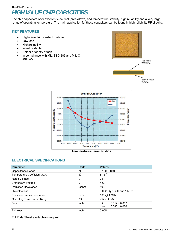### Thin-Film Products *HIGH VALUE CHIP CAPACITORS*

The chip capacitors offer excellent electrical (breakdown) and temperature stability, high reliability and a very large range of operating temperature. The main application for these capacitors can be found in high reliability RF circuits.

#### **KEY FEATURES**

- High-dielectric constant material
- Low loss
- High reliability
- Wire bondable
- Solder or epoxy attach
- In compliance with MIL-STD-883 and MIL-C-49464A





**Temperature characteristics**

#### **ELECTRICAL SPECIFICATIONS**

| <b>Parameter</b>                   | <b>Units</b> | <b>Values</b>                |
|------------------------------------|--------------|------------------------------|
| Capacitance Range                  | nF           | $0.150 - 10.0$               |
| Temperature Coefficient AC/C       | $\%$         | $\pm 15^{1}$                 |
| Rated Voltage                      | ٧            | 25                           |
| Breakdown Voltage                  | ٧            | >60                          |
| Insulation Resistance              | Gohm         | 10.0                         |
| Dielectric loss                    |              | 0.0025 @ 1 kHz and 1 MHz     |
| Equivalent series resistance       | mohm         | 100 @ 1 GHz                  |
| <b>Operating Temperature Range</b> | $^{\circ}$ C | $-55 - +125$                 |
| Size                               | inch         | min:<br>$0.012 \times 0.012$ |
|                                    |              | $0.086 \times 0.086$<br>max: |
| <b>Thickness</b>                   | inch         | 0.005                        |

Full Data Sheet available on request.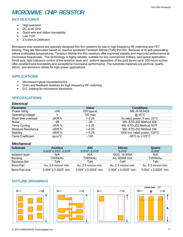## *MICROWAVE CHIP RESISTOR*

### **KEY FEATURES**

- High precision
- DC to 40 GHz
- Good wire and ribbon bondability
- Low TCR
- 2.5 ohm to 240Kohm

Microwave chip resistors are specially designed thin film resistors for use in high frequency RF matching and FET biasing. They are fabricated based on reactive sputtered Tantalum Nitride (TaN) thin film. Because of its self-passivating nature at elevated temperatures, Tantalum Nitride thin film resistors offer improved stability and improved performance at microwave frequencies. The technology is highly reliable, suitable for any commercial, military, and space application. Small size, tight tolerance control of the resistive layer and uniform deposition of the gold layers up to 200 micro-inches offer excellent wire bondability and exceptional microwave performance. The substrate materials are alumina, quartz, silicon, and aluminum nitride for high power applications.

#### **APPLICATIONS**

- **Microwave hybrid microelectronics**
- **•** Drain and feedback resistors for high frequency RF matching
- D.C. biasing for microwave transistors.

#### **SPECIFICATIONS**

#### *Electrical*

| <b>Parameter</b>           |                   | Value       | <b>Conditions</b>                     |
|----------------------------|-------------------|-------------|---------------------------------------|
| Power rating               | mW                | 250 typical | MIL-R-55342A                          |
| Operating voltage          |                   | $100$ max   | @ 25°C                                |
| Short time overload        | $\Delta$ R/R %    | $+ -0.25$   | 5x rated power, 5 sec, 25°C           |
| <b>Noise</b>               | dB                | -30         | MIL-STD-202 Method 308                |
| Temp Cycling               | $\triangle$ R/R % | $+ -0.25$   | MIL-STD-202 Method 107F               |
| <b>Moisture Resistance</b> | $\triangle$ R/R % | $+ -0.25$   | MIL-STD-202 Method 106                |
| Stability                  | $\Delta$ R/R %    | $+ -0.25$   | 1000 hrs, rated power, 125°C          |
| <b>Temp Coefficient</b>    | ppm/°C            | $-100$      | -55 $^{\circ}$ C to +125 $^{\circ}$ C |

#### *Mechanical*

| <b>Substrate</b>       | <b>Alumina</b>               | <b>AIN</b>                   | <b>Silicon</b>               | Quartz                       |
|------------------------|------------------------------|------------------------------|------------------------------|------------------------------|
|                        | 0.005" 0.010", 0.015"        | $0.010$ ", $0.015$ "         | 0.010"                       | 0.005"                       |
| <b>Isolation layer</b> | N/A                          | N/A                          | SiO2, 10,000A                | N/A                          |
| Backing                | TiW/Ni/Au                    | TiW/Ni/Au                    | Au, 3000A min.               | TiW/Ni/Au                    |
| Resistive film         | TaN                          | TaN                          | TaN                          | TaN                          |
| Bond Pad               | Au, 2.5 micron min.          | Au, 2.5 micron min.          | Au. 2.5 micron min.          | Au, 2.5 micron min.          |
| Bond Pad size          | $0.004" \times 0.0025"$ min. | $0.004" \times 0.0025"$ min. | $0.004" \times 0.0025"$ min. | $0.004" \times 0.0025"$ min. |

#### **OUTLINE DRAWINGS**







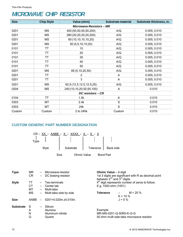#### Thin-Film Products

### *MICROWAVE CHIP RESISTOR*

| <b>Size</b>                   | <b>Chip Style</b> | Value (ohm)                  | <b>Substrate material</b> | Substrate thickness, in. |  |  |  |  |
|-------------------------------|-------------------|------------------------------|---------------------------|--------------------------|--|--|--|--|
| <b>Microwave Resistors-MR</b> |                   |                              |                           |                          |  |  |  |  |
| 0201                          | <b>MS</b>         | 400 (50,50,50,50,200)<br>A/Q |                           | 0.005, 0.010             |  |  |  |  |
| 0201                          | <b>MS</b>         | 280 (20,20,20,20,200)        | A/Q                       | 0.005, 0.010             |  |  |  |  |
| 0201                          | <b>MS</b>         | 60 (10,10,10,10,20)          | A/Q                       | 0.005, 0.010             |  |  |  |  |
| 0201                          | <b>MS</b>         | 50 (5,5,10,10,20)            | A/Q                       | 0.005, 0.010             |  |  |  |  |
| 0101                          | TΤ                | 10                           | A/Q                       | 0.005, 0.010             |  |  |  |  |
| 0101                          | TΤ                | 20                           | A/Q                       | 0.005, 0.010             |  |  |  |  |
| 0101                          | TΤ                | 30                           | A/Q                       | 0.005, 0.010             |  |  |  |  |
| 0101                          | <b>TT</b>         | 40                           | A/Q                       | 0.005, 0.010             |  |  |  |  |
| 0101                          | TΤ                | 50                           | A/Q                       | 0.005, 0.010             |  |  |  |  |
| 0201                          | <b>MS</b>         | 85 (5,10,20,50)              | A/Q                       | 0.005, 0.010             |  |  |  |  |
| 0201                          | <b>TT</b>         | 2                            | A                         | 0.005, 0.010             |  |  |  |  |
| 0201                          | <b>TT</b>         | 3                            | A                         | 0.005, 0.010             |  |  |  |  |
| 0201                          | <b>MS</b>         | 62.5 (12.5, 12.5, 12.5, 25)  | A/Q                       | 0.005, 0.010             |  |  |  |  |
| 0204                          | MS                | 240 (10,10,20,50,50,100)     | A                         | 0.010                    |  |  |  |  |
| <b>DC resistors - CR</b>      |                   |                              |                           |                          |  |  |  |  |
| 0104                          | <b>TT</b>         | 1.5k                         | A                         | 0.010                    |  |  |  |  |
| 0303                          | МT                | 2.4k                         | S                         | 0.010                    |  |  |  |  |
| 0303                          | MT                | 24k                          | S                         | 0.010                    |  |  |  |  |
| Custom                        | Custom            | 2 to 240k                    | Custom                    | 0.010                    |  |  |  |  |

#### **CUSTOM GENERIC PART NUMBER DESIGNATION**



| <b>Type</b>      | MR.  | $-$                      | Microwave resistor      | <b>Ohmic Value - 4-digit</b>                                                                  |                                  |             |  |  |
|------------------|------|--------------------------|-------------------------|-----------------------------------------------------------------------------------------------|----------------------------------|-------------|--|--|
|                  | CR   | $\overline{\phantom{0}}$ | DC biasing resistor     | 1st 3 digits are significant with R as decimal point<br>between $2^{nd}$ and $3^{rd}$ digits. |                                  |             |  |  |
| <b>Style</b>     | TT   | $\overline{\phantom{0}}$ | Two terminals           | 4 <sup>th</sup> digit represents number of zeros to follow.                                   |                                  |             |  |  |
|                  | СT   | $\sim$                   | Center tab              | E.g. 1000 ohm (1001).                                                                         |                                  |             |  |  |
|                  | МT   | $-$                      | Multi-tabs              |                                                                                               |                                  |             |  |  |
|                  | МS   | $\overline{\phantom{0}}$ | Multi-tabs side by side | <b>Tolerance</b>                                                                              | $\qquad \qquad -$<br>$K = 10 \%$ | $M = 20 \%$ |  |  |
| <b>Size</b>      | AABB | $\equiv$                 | 0201=0.020in.x0.010in.  |                                                                                               | $J = 5 \%$                       |             |  |  |
| <b>Substrate</b> | - S  | $\qquad \qquad$          | Silicon                 |                                                                                               |                                  |             |  |  |
|                  | A    |                          | Alumina                 | Example                                                                                       |                                  |             |  |  |
|                  | N    |                          | Aluminum nitride        | MR-MS-0201-Q-50R0-K-G-G                                                                       |                                  |             |  |  |
|                  | Q    |                          | Quartz                  | 50 ohm multi side tabs microwave resistor                                                     |                                  |             |  |  |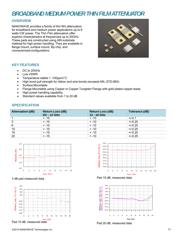### *BROADBAND MEDIUM POWER THIN FILM ATTENUATOR*

#### **OVERVIEW**

NANOWAVE provides a family of thin film attenuators for broadband and medium power applications up to 8 watts CW power. The Thin Film attenuators offer superior characteristics at frequencies up to 20GHz. These pads are constructed using AlN substrate material for high power handling. They are available in flange mount, surface mount, flip chip, and connectorized configurations.



#### **KEY FEATURES**

- DC to 20GHz
- Low VSWR
- Temperature stable < -100ppm/°C
- High bond pull strength for ribbon and wire bonds (exceeds MIL-STD-883)
- Surface Mountable
- Flange Mountable using Copper or Copper Tungsten Flange with gold plated copper leads.
- High power handling capability.
- Standard values available from 1 to 20 dB

#### **SPECIFICATION**

| <b>Attenuation (dB)</b> | <b>Return Loss (dB)</b><br><b>DC - 12 GHz</b> | <b>Return Loss (dB)</b><br>12 - 18 GHz | Tolerance (dB) |
|-------------------------|-----------------------------------------------|----------------------------------------|----------------|
|                         | $< -15$                                       | $< -10$                                | $+/-0.1$       |
| 3                       | $< -15$                                       | $< -10$                                | $+/-0.25$      |
| 6                       | $< -15$                                       | $< -10$                                | $+/-0.25$      |
| 10                      | $< -15$                                       | $< -10$                                | $+/-0.25$      |
| 15                      | $< -15$                                       | $< -10$                                | $+/-0.25$      |
| 20                      | $< -15$                                       | $< -10$                                | $+/-0.25$      |









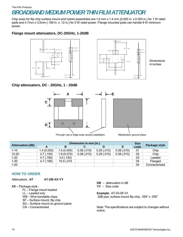#### Thin-Film Products *BROADBAND MEDIUM POWER THIN FILM ATTENUATOR*

Chip sizes for flip chip surface mount and hybrid assemblies are 1.4 mm x 1.4 mm (0.055 in. x 0.055 in.) for 1 W rated pads and 4.7mm x 3.0mm (.185 in. x .12 in.) for 5 W rated power. Flange mounted pads can handle 8 W minimum power.

#### **Flange mount attenuators, DC-20GHz, 1-20dB**





#### **Chip attenuators, DC - 20GHz, 1 - 20dB**



Through vias or edge wrap-around castellation Metalization ground plane

|                         | Dimension in mm (in.) |             |            |            |            |      | Package style |  |
|-------------------------|-----------------------|-------------|------------|------------|------------|------|---------------|--|
| <b>Attenuation (dB)</b> |                       | в           |            | D          |            | code |               |  |
| $1 - 10$                | 1.4(0.055)            | 1.4 (0.055) | 0.38(.015) | 0.25(.010) | 0.38(.015) | 01   | Chip          |  |
| $12 - 20$               | 2.7(0.105)            | 1.9(0.075)  | 0.38(.015) | 0.25(.010) | 0.38(.015) | 02   | Chip          |  |
| $1 - 20$                | 4.7(0.185)            | 3.0(0.120)  |            |            |            | 03   | Leaded        |  |
| $1 - 20$                | 4.7(0.185)            | 10.5 (.415) |            |            |            | 04   | Flanged       |  |
| $1 - 20$                |                       |             |            |            |            | 05   | Connectorized |  |

#### **HOW TO ORDER**

Attenuators : **AT AT-DB-XX-YY** 

**XX** – Package style :

- FL Flange mount leaded
- LL Leaded only
- WB Wire bondable chips
- SF Surface mount, flip chip
- SG Surface mount on ground plane
- CN Connectorized

**DB** – attenuation in dB **YY** – Size code

**Example**: AT-03-SF-01 3dB pad, surface mount flip chip, .055" x .055"

Note: The specifications are subject to changes without notice.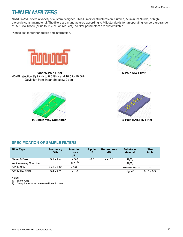### *THIN FILM FILTERS*

NANOWAVE offers a variety of custom designed Thin-Film filter structures on Alumina, Aluminum Nitride, or highdielectric constant material. The filters are manufactured according to MIL standards for an operating temperature range of -55°C to +85°C (or up to +125°C on request). All filter parameters are customizable.

Please ask for further details and information.



 **Planar 6-Pole Filter** 40 dB rejection @ 9 kHz to 8.0 GHz and 10.5 to 16 GHz Deviation from linear phase ±3.0 deg



**5-Pole SIW Filter**





#### **SPECIFICATION OF SAMPLE FILTERS**

| <b>Filter Type</b>     | <b>Frequency</b><br><b>GHz</b> | <b>Insertion</b><br>Loss<br>dB | <b>Ripple</b><br>dB | <b>Return Loss</b><br>dB | <b>Substrate</b><br><b>Material</b> | <b>Size</b><br>Inch |
|------------------------|--------------------------------|--------------------------------|---------------------|--------------------------|-------------------------------------|---------------------|
| Planar 6-Pole          | $9.1 - 9.4$                    | < 3.0                          | ±0.5                | $< -15.0$                | Al <sub>2</sub> O <sub>3</sub>      |                     |
| In-Line n-Way Combiner |                                | $0.75^{2}$                     |                     |                          | $Al_2O_3$                           |                     |
| 5-Pole SIW             | $9.45 - 9.65$                  | $< 3.0-1$                      |                     |                          | Low-loss $Al_2O_3$                  |                     |
| 5-Pole HAIRPIN         | $9.4 - 9.7$                    | < 1.0                          |                     |                          | High-K                              | $0.15 \times 0.3$   |

Notes:

1) @ 9.5 GHz<br>2) 3-way back-

2) 3-way back-to-back measured insertion loss